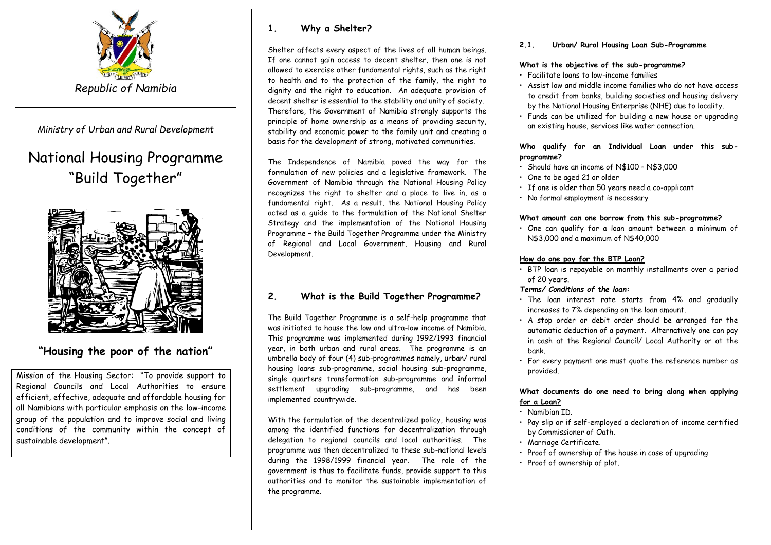

*Ministry of Urban and Rural Development*

# National Housing Programme "Build Together"



# **"Housing the poor of the nation"**

Mission of the Housing Sector: "To provide support to Regional Councils and Local Authorities to ensure efficient, effective, adequate and affordable housing for all Namibians with particular emphasis on the low-income group of the population and to improve social and living conditions of the community within the concept of sustainable development".

### **1. Why a Shelter?**

Shelter affects every aspect of the lives of all human beings. If one cannot gain access to decent shelter, then one is not allowed to exercise other fundamental rights, such as the right to health and to the protection of the family, the right to dignity and the right to education. An adequate provision of decent shelter is essential to the stability and unity of society. Therefore, the Government of Namibia strongly supports the principle of home ownership as a means of providing security, stability and economic power to the family unit and creating a basis for the development of strong, motivated communities.

The Independence of Namibia paved the way for the formulation of new policies and a legislative framework. The Government of Namibia through the National Housing Policy recognizes the right to shelter and a place to live in, as a fundamental right. As a result, the National Housing Policy acted as a guide to the formulation of the National Shelter Strategy and the implementation of the National Housing Programme – the Build Together Programme under the Ministry of Regional and Local Government, Housing and Rural Development.

## **2. What is the Build Together Programme?**

The Build Together Programme is a self-help programme that was initiated to house the low and ultra-low income of Namibia. This programme was implemented during 1992/1993 financial year, in both urban and rural areas. The programme is an umbrella body of four (4) sub-programmes namely, urban/ rural housing loans sub-programme, social housing sub-programme, single quarters transformation sub-programme and informal settlement upgrading sub-programme, and has been implemented countrywide.

With the formulation of the decentralized policy, housing was among the identified functions for decentralization through delegation to regional councils and local authorities. The programme was then decentralized to these sub-national levels during the 1998/1999 financial year. The role of the government is thus to facilitate funds, provide support to this authorities and to monitor the sustainable implementation of the programme.

**2.1. Urban/ Rural Housing Loan Sub-Programme**

#### **What is the objective of the sub-programme?**

- Facilitate loans to low-income families
- Assist low and middle income families who do not have access to credit from banks, building societies and housing delivery by the National Housing Enterprise (NHE) due to locality.
- Funds can be utilized for building a new house or upgrading an existing house, services like water connection.

#### **Who qualify for an Individual Loan under this subprogramme?**

- Should have an income of N\$100 N\$3,000
- One to be aged 21 or older
- If one is older than 50 years need a co-applicant
- No formal employment is necessary

#### **What amount can one borrow from this sub-programme?**

• One can qualify for a loan amount between a minimum of N\$3,000 and a maximum of N\$40,000

#### **How do one pay for the BTP Loan?**

- BTP loan is repayable on monthly installments over a period of 20 years.
- *Terms/ Conditions of the loan:*
- The loan interest rate starts from 4% and gradually increases to 7% depending on the loan amount.
- A stop order or debit order should be arranged for the automatic deduction of a payment. Alternatively one can pay in cash at the Regional Council/ Local Authority or at the bank.
- For every payment one must quote the reference number as provided.

#### **What documents do one need to bring along when applying for a Loan?**

- Namibian ID.
- Pay slip or if self-employed a declaration of income certified by Commissioner of Oath.
- Marriage Certificate.
- Proof of ownership of the house in case of upgrading
- Proof of ownership of plot.